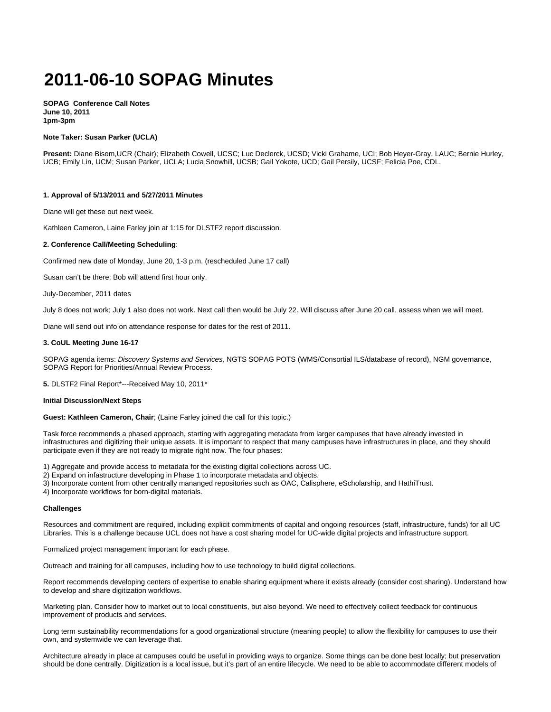# **2011-06-10 SOPAG Minutes**

**SOPAG Conference Call Notes June 10, 2011 1pm-3pm**

#### **Note Taker: Susan Parker (UCLA)**

**Present:** Diane Bisom,UCR (Chair); Elizabeth Cowell, UCSC; Luc Declerck, UCSD; Vicki Grahame, UCI; Bob Heyer-Gray, LAUC; Bernie Hurley, UCB; Emily Lin, UCM; Susan Parker, UCLA; Lucia Snowhill, UCSB; Gail Yokote, UCD; Gail Persily, UCSF; Felicia Poe, CDL.

#### **1. Approval of 5/13/2011 and 5/27/2011 Minutes**

Diane will get these out next week.

Kathleen Cameron, Laine Farley join at 1:15 for DLSTF2 report discussion.

#### **2. Conference Call/Meeting Scheduling**:

Confirmed new date of Monday, June 20, 1-3 p.m. (rescheduled June 17 call)

Susan can't be there; Bob will attend first hour only.

July-December, 2011 dates

July 8 does not work; July 1 also does not work. Next call then would be July 22. Will discuss after June 20 call, assess when we will meet.

Diane will send out info on attendance response for dates for the rest of 2011.

#### **3. CoUL Meeting June 16-17**

SOPAG agenda items: Discovery Systems and Services, NGTS SOPAG POTS (WMS/Consortial ILS/database of record), NGM governance, SOPAG Report for Priorities/Annual Review Process.

**5.** DLSTF2 Final Report\*---Received May 10, 2011\*

#### **Initial Discussion/Next Steps**

**Guest: Kathleen Cameron, Chair**; (Laine Farley joined the call for this topic.)

Task force recommends a phased approach, starting with aggregating metadata from larger campuses that have already invested in infrastructures and digitizing their unique assets. It is important to respect that many campuses have infrastructures in place, and they should participate even if they are not ready to migrate right now. The four phases:

1) Aggregate and provide access to metadata for the existing digital collections across UC.

2) Expand on infastructure developing in Phase 1 to incorporate metadata and objects.

3) Incorporate content from other centrally mananged repositories such as OAC, Calisphere, eScholarship, and HathiTrust.

4) Incorporate workflows for born-digital materials.

# **Challenges**

Resources and commitment are required, including explicit commitments of capital and ongoing resources (staff, infrastructure, funds) for all UC Libraries. This is a challenge because UCL does not have a cost sharing model for UC-wide digital projects and infrastructure support.

Formalized project management important for each phase.

Outreach and training for all campuses, including how to use technology to build digital collections.

Report recommends developing centers of expertise to enable sharing equipment where it exists already (consider cost sharing). Understand how to develop and share digitization workflows.

Marketing plan. Consider how to market out to local constituents, but also beyond. We need to effectively collect feedback for continuous improvement of products and services.

Long term sustainability recommendations for a good organizational structure (meaning people) to allow the flexibility for campuses to use their own, and systemwide we can leverage that.

Architecture already in place at campuses could be useful in providing ways to organize. Some things can be done best locally; but preservation should be done centrally. Digitization is a local issue, but it's part of an entire lifecycle. We need to be able to accommodate different models of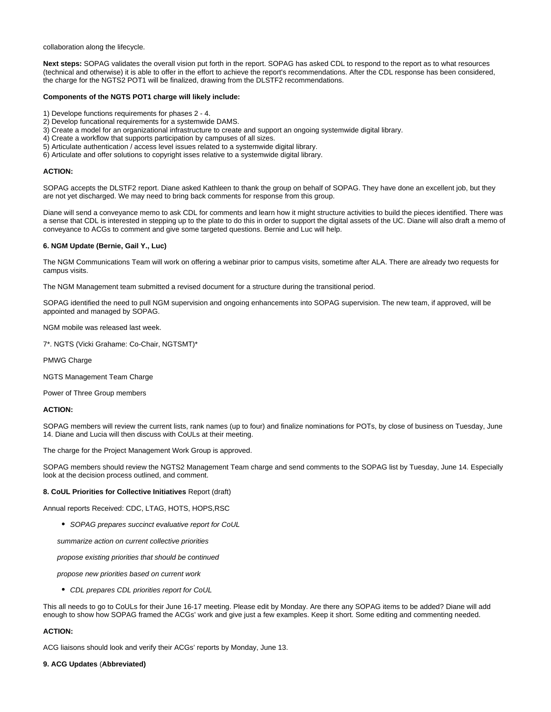collaboration along the lifecycle.

**Next steps:** SOPAG validates the overall vision put forth in the report. SOPAG has asked CDL to respond to the report as to what resources (technical and otherwise) it is able to offer in the effort to achieve the report's recommendations. After the CDL response has been considered, the charge for the NGTS2 POT1 will be finalized, drawing from the DLSTF2 recommendations.

## **Components of the NGTS POT1 charge will likely include:**

- 1) Develope functions requirements for phases 2 4.
- 2) Develop funcational requirements for a systemwide DAMS.
- 3) Create a model for an organizational infrastructure to create and support an ongoing systemwide digital library.
- 4) Create a workflow that supports participation by campuses of all sizes.
- 5) Articulate authentication / access level issues related to a systemwide digital library.
- 6) Articulate and offer solutions to copyright isses relative to a systemwide digital library.

## **ACTION:**

SOPAG accepts the DLSTF2 report. Diane asked Kathleen to thank the group on behalf of SOPAG. They have done an excellent job, but they are not yet discharged. We may need to bring back comments for response from this group.

Diane will send a conveyance memo to ask CDL for comments and learn how it might structure activities to build the pieces identified. There was a sense that CDL is interested in stepping up to the plate to do this in order to support the digital assets of the UC. Diane will also draft a memo of conveyance to ACGs to comment and give some targeted questions. Bernie and Luc will help.

## **6. NGM Update (Bernie, Gail Y., Luc)**

The NGM Communications Team will work on offering a webinar prior to campus visits, sometime after ALA. There are already two requests for campus visits.

The NGM Management team submitted a revised document for a structure during the transitional period.

SOPAG identified the need to pull NGM supervision and ongoing enhancements into SOPAG supervision. The new team, if approved, will be appointed and managed by SOPAG.

NGM mobile was released last week.

7\*. NGTS (Vicki Grahame: Co-Chair, NGTSMT)\*

PMWG Charge

NGTS Management Team Charge

Power of Three Group members

# **ACTION:**

SOPAG members will review the current lists, rank names (up to four) and finalize nominations for POTs, by close of business on Tuesday, June 14. Diane and Lucia will then discuss with CoULs at their meeting.

The charge for the Project Management Work Group is approved.

SOPAG members should review the NGTS2 Management Team charge and send comments to the SOPAG list by Tuesday, June 14. Especially look at the decision process outlined, and comment.

#### **8. CoUL Priorities for Collective Initiatives** Report (draft)

Annual reports Received: CDC, LTAG, HOTS, HOPS,RSC

SOPAG prepares succinct evaluative report for CoUL

summarize action on current collective priorities

propose existing priorities that should be continued

propose new priorities based on current work

• CDL prepares CDL priorities report for CoUL

This all needs to go to CoULs for their June 16-17 meeting. Please edit by Monday. Are there any SOPAG items to be added? Diane will add enough to show how SOPAG framed the ACGs' work and give just a few examples. Keep it short. Some editing and commenting needed.

## **ACTION:**

ACG liaisons should look and verify their ACGs' reports by Monday, June 13.

# **9. ACG Updates** (**Abbreviated)**